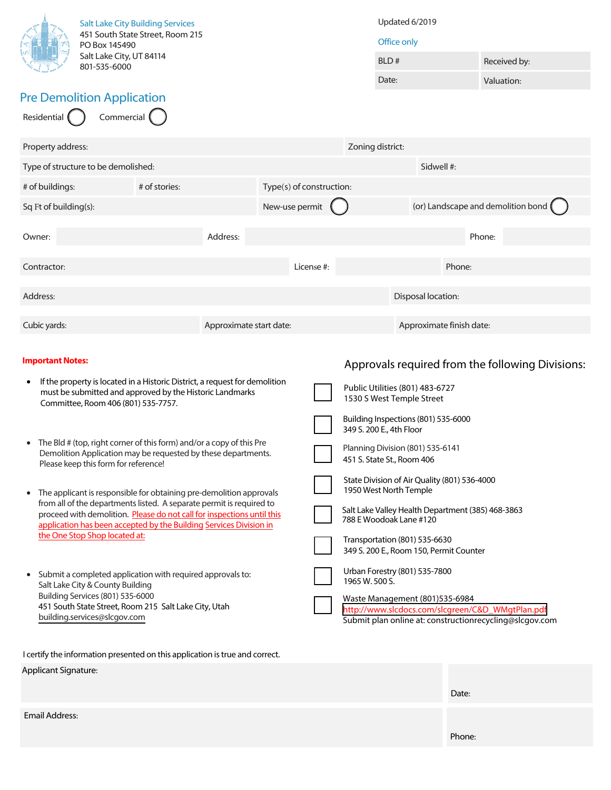| <b>Salt Lake City Building Services</b><br>451 South State Street, Room 215<br>PO Box 145490                                                                                                                                                                                                                                                                                                                                                                                                                                                                                                                                                                                                                                                                                                                                                                                                                                                                                |  |          | Updated 6/2019<br>Office only |                |                  |                                                                                                                                                                                                                                                                                                                                                                                                                                                                                                                                                                                                                                                                               |              |            |  |  |
|-----------------------------------------------------------------------------------------------------------------------------------------------------------------------------------------------------------------------------------------------------------------------------------------------------------------------------------------------------------------------------------------------------------------------------------------------------------------------------------------------------------------------------------------------------------------------------------------------------------------------------------------------------------------------------------------------------------------------------------------------------------------------------------------------------------------------------------------------------------------------------------------------------------------------------------------------------------------------------|--|----------|-------------------------------|----------------|------------------|-------------------------------------------------------------------------------------------------------------------------------------------------------------------------------------------------------------------------------------------------------------------------------------------------------------------------------------------------------------------------------------------------------------------------------------------------------------------------------------------------------------------------------------------------------------------------------------------------------------------------------------------------------------------------------|--------------|------------|--|--|
| Salt Lake City, UT 84114<br>801-535-6000                                                                                                                                                                                                                                                                                                                                                                                                                                                                                                                                                                                                                                                                                                                                                                                                                                                                                                                                    |  |          |                               |                | BLD#             |                                                                                                                                                                                                                                                                                                                                                                                                                                                                                                                                                                                                                                                                               | Received by: |            |  |  |
|                                                                                                                                                                                                                                                                                                                                                                                                                                                                                                                                                                                                                                                                                                                                                                                                                                                                                                                                                                             |  |          |                               |                | Date:            |                                                                                                                                                                                                                                                                                                                                                                                                                                                                                                                                                                                                                                                                               |              | Valuation: |  |  |
| <b>Pre Demolition Application</b><br>Residential<br>Commercial (                                                                                                                                                                                                                                                                                                                                                                                                                                                                                                                                                                                                                                                                                                                                                                                                                                                                                                            |  |          |                               |                |                  |                                                                                                                                                                                                                                                                                                                                                                                                                                                                                                                                                                                                                                                                               |              |            |  |  |
| Property address:                                                                                                                                                                                                                                                                                                                                                                                                                                                                                                                                                                                                                                                                                                                                                                                                                                                                                                                                                           |  |          |                               |                | Zoning district: |                                                                                                                                                                                                                                                                                                                                                                                                                                                                                                                                                                                                                                                                               |              |            |  |  |
| Type of structure to be demolished:                                                                                                                                                                                                                                                                                                                                                                                                                                                                                                                                                                                                                                                                                                                                                                                                                                                                                                                                         |  |          |                               |                | Sidwell #:       |                                                                                                                                                                                                                                                                                                                                                                                                                                                                                                                                                                                                                                                                               |              |            |  |  |
| # of stories:<br># of buildings:                                                                                                                                                                                                                                                                                                                                                                                                                                                                                                                                                                                                                                                                                                                                                                                                                                                                                                                                            |  |          | Type(s) of construction:      |                |                  |                                                                                                                                                                                                                                                                                                                                                                                                                                                                                                                                                                                                                                                                               |              |            |  |  |
| Sq Ft of building(s):                                                                                                                                                                                                                                                                                                                                                                                                                                                                                                                                                                                                                                                                                                                                                                                                                                                                                                                                                       |  |          |                               | New-use permit |                  | (or) Landscape and demolition bond                                                                                                                                                                                                                                                                                                                                                                                                                                                                                                                                                                                                                                            |              |            |  |  |
| Owner:                                                                                                                                                                                                                                                                                                                                                                                                                                                                                                                                                                                                                                                                                                                                                                                                                                                                                                                                                                      |  | Address: |                               |                |                  |                                                                                                                                                                                                                                                                                                                                                                                                                                                                                                                                                                                                                                                                               | Phone:       |            |  |  |
| Contractor:                                                                                                                                                                                                                                                                                                                                                                                                                                                                                                                                                                                                                                                                                                                                                                                                                                                                                                                                                                 |  |          |                               | License #:     |                  | Phone:                                                                                                                                                                                                                                                                                                                                                                                                                                                                                                                                                                                                                                                                        |              |            |  |  |
| Address:                                                                                                                                                                                                                                                                                                                                                                                                                                                                                                                                                                                                                                                                                                                                                                                                                                                                                                                                                                    |  |          |                               |                |                  | Disposal location:                                                                                                                                                                                                                                                                                                                                                                                                                                                                                                                                                                                                                                                            |              |            |  |  |
| Cubic yards:<br>Approximate start date:                                                                                                                                                                                                                                                                                                                                                                                                                                                                                                                                                                                                                                                                                                                                                                                                                                                                                                                                     |  |          |                               |                |                  | Approximate finish date:                                                                                                                                                                                                                                                                                                                                                                                                                                                                                                                                                                                                                                                      |              |            |  |  |
| <b>Important Notes:</b><br>If the property is located in a Historic District, a request for demolition<br>٠<br>must be submitted and approved by the Historic Landmarks<br>Committee, Room 406 (801) 535-7757.<br>The Bld # (top, right corner of this form) and/or a copy of this Pre<br>$\bullet$<br>Demolition Application may be requested by these departments.<br>Please keep this form for reference!<br>The applicant is responsible for obtaining pre-demolition approvals<br>from all of the departments listed. A separate permit is required to<br>proceed with demolition. Please do not call for inspections until this<br>application has been accepted by the Building Services Division in<br>the One Stop Shop located at:<br>Submit a completed application with required approvals to:<br>Salt Lake City & County Building<br>Building Services (801) 535-6000<br>451 South State Street, Room 215 Salt Lake City, Utah<br>building.services@slcgov.com |  |          |                               |                | 1965 W. 500 S.   | Approvals required from the following Divisions:<br>Public Utilities (801) 483-6727<br>1530 S West Temple Street<br>Building Inspections (801) 535-6000<br>349 S. 200 E., 4th Floor<br>Planning Division (801) 535-6141<br>451 S. State St., Room 406<br>State Division of Air Quality (801) 536-4000<br>1950 West North Temple<br>Salt Lake Valley Health Department (385) 468-3863<br>788 E Woodoak Lane #120<br>Transportation (801) 535-6630<br>349 S. 200 E., Room 150, Permit Counter<br>Urban Forestry (801) 535-7800<br>Waste Management (801)535-6984<br>http://www.slcdocs.com/slcgreen/C&D_WMgtPlan.pdf<br>Submit plan online at: constructionrecycling@slcgov.com |              |            |  |  |
| I certify the information presented on this application is true and correct.<br>Applicant Signature:                                                                                                                                                                                                                                                                                                                                                                                                                                                                                                                                                                                                                                                                                                                                                                                                                                                                        |  |          |                               |                |                  |                                                                                                                                                                                                                                                                                                                                                                                                                                                                                                                                                                                                                                                                               |              |            |  |  |
|                                                                                                                                                                                                                                                                                                                                                                                                                                                                                                                                                                                                                                                                                                                                                                                                                                                                                                                                                                             |  |          |                               |                |                  | Date:                                                                                                                                                                                                                                                                                                                                                                                                                                                                                                                                                                                                                                                                         |              |            |  |  |
| <b>Email Address:</b>                                                                                                                                                                                                                                                                                                                                                                                                                                                                                                                                                                                                                                                                                                                                                                                                                                                                                                                                                       |  |          |                               |                |                  | Phone:                                                                                                                                                                                                                                                                                                                                                                                                                                                                                                                                                                                                                                                                        |              |            |  |  |